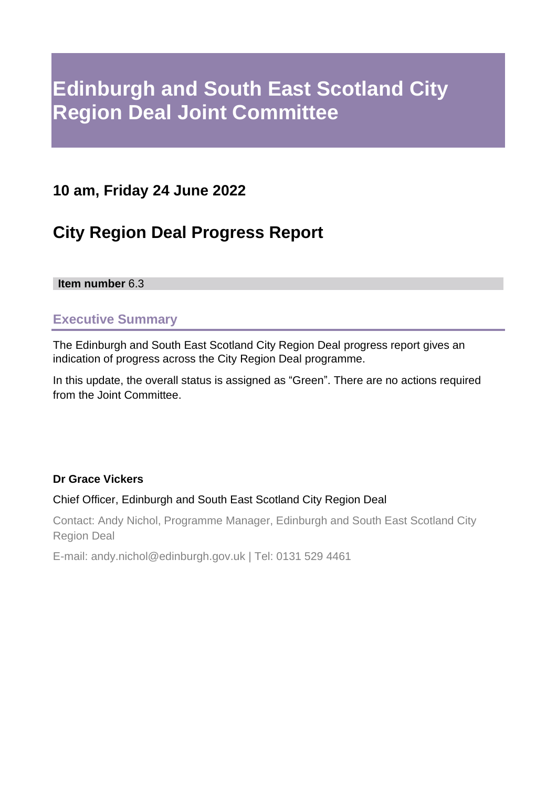# **Edinburgh and South East Scotland City Region Deal Joint Committee**

## **10 am, Friday 24 June 2022**

## **City Region Deal Progress Report**

### **Item number** 6.3

### **Executive Summary**

The Edinburgh and South East Scotland City Region Deal progress report gives an indication of progress across the City Region Deal programme.

In this update, the overall status is assigned as "Green". There are no actions required from the Joint Committee.

### **Dr Grace Vickers**

### Chief Officer, Edinburgh and South East Scotland City Region Deal

Contact: Andy Nichol, Programme Manager, Edinburgh and South East Scotland City Region Deal

E-mail: andy.nichol@edinburgh.gov.uk | Tel: 0131 529 4461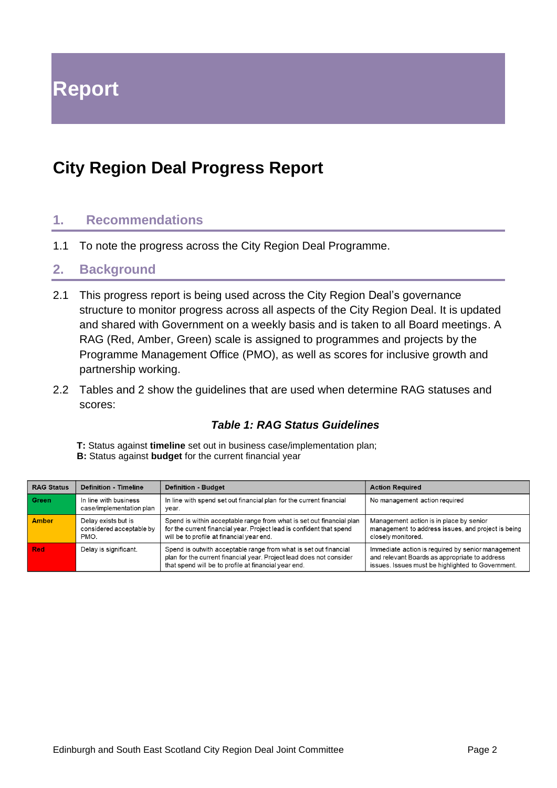**Report**

## **City Region Deal Progress Report**

### **1. Recommendations**

1.1 To note the progress across the City Region Deal Programme.

### **2. Background**

- 2.1 This progress report is being used across the City Region Deal's governance structure to monitor progress across all aspects of the City Region Deal. It is updated and shared with Government on a weekly basis and is taken to all Board meetings. A RAG (Red, Amber, Green) scale is assigned to programmes and projects by the Programme Management Office (PMO), as well as scores for inclusive growth and partnership working.
- 2.2 Tables and 2 show the guidelines that are used when determine RAG statuses and scores:

### *Table 1: RAG Status Guidelines*

**T:** Status against **timeline** set out in business case/implementation plan;

**B:** Status against **budget** for the current financial year

| <b>RAG Status</b> | <b>Definition - Timeline</b>                            | <b>Definition - Budget</b>                                                                                                                                                                      | <b>Action Required</b>                                                                                                                                  |
|-------------------|---------------------------------------------------------|-------------------------------------------------------------------------------------------------------------------------------------------------------------------------------------------------|---------------------------------------------------------------------------------------------------------------------------------------------------------|
| Green             | In line with business<br>case/implementation plan       | In line with spend set out financial plan for the current financial<br>vear.                                                                                                                    | No management action required                                                                                                                           |
| <b>Amber</b>      | Delay exists but is<br>considered acceptable by<br>PMO. | Spend is within acceptable range from what is set out financial plan<br>for the current financial year. Project lead is confident that spend<br>will be to profile at financial year end.       | Management action is in place by senior<br>management to address issues, and project is being<br>closely monitored.                                     |
| <b>Red</b>        | Delay is significant.                                   | Spend is outwith acceptable range from what is set out financial<br>plan for the current financial year. Project lead does not consider<br>that spend will be to profile at financial year end. | Immediate action is required by senior management<br>and relevant Boards as appropriate to address<br>issues. Issues must be highlighted to Government. |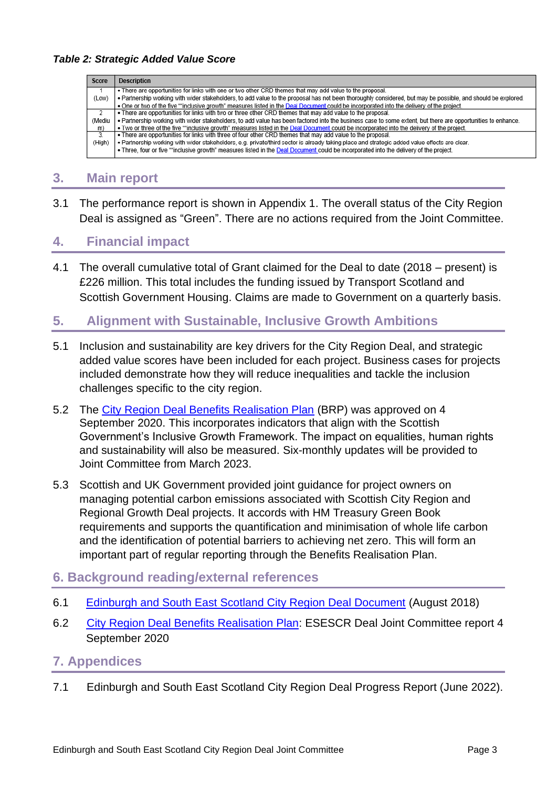| Score          | <b>Description</b>                                                                                                                                           |
|----------------|--------------------------------------------------------------------------------------------------------------------------------------------------------------|
|                | • There are opportunities for links with one or two other CRD themes that may add value to the proposal.                                                     |
| (Low)          | . Partnership working with wider stakeholders, to add value to the proposal has not been thoroughly considered, but may be possible, and should be explored. |
|                | . One or two of the five ""inclusive growth" measures listed in the Deal Document could be incorporated into the delivery of the project.                    |
| $\overline{z}$ | . There are opportunities for links with two or three other CRD themes that may add value to the proposal.                                                   |
| (Mediu         | . Partnership working with wider stakeholders, to add value has been factored into the business case to some extent, but there are opportunities to enhance. |
| m)             | . Two or three of the five ""inclusive growth" measures listed in the Deal Document could be incorporated into the delivery of the project.                  |
| $\overline{3}$ | . There are opportunities for links with three of four other CRD themes that may add value to the proposal.                                                  |
| (High)         | . Partnership working with wider stakeholders, e.g. private/third sector is already taking place and strategic added value effects are clear.                |
|                | • Three, four or five ""inclusive growth" measures listed in the Deal Document could be incorporated into the delivery of the project.                       |

### **3. Main report**

3.1 The performance report is shown in Appendix 1. The overall status of the City Region Deal is assigned as "Green". There are no actions required from the Joint Committee.

### **4. Financial impact**

4.1 The overall cumulative total of Grant claimed for the Deal to date (2018 – present) is £226 million. This total includes the funding issued by Transport Scotland and Scottish Government Housing. Claims are made to Government on a quarterly basis.

## **5. Alignment with Sustainable, Inclusive Growth Ambitions**

- 5.1 Inclusion and sustainability are key drivers for the City Region Deal, and strategic added value scores have been included for each project. Business cases for projects included demonstrate how they will reduce inequalities and tackle the inclusion challenges specific to the city region.
- 5.2 The [City Region Deal Benefits Realisation Plan](https://democracy.edinburgh.gov.uk/documents/s25995/5.3%20Benefits%20Realisation%20Plan%20with%20appendices.pdf) (BRP) was approved on 4 September 2020. This incorporates indicators that align with the Scottish Government's Inclusive Growth Framework. The impact on equalities, human rights and sustainability will also be measured. Six-monthly updates will be provided to Joint Committee from March 2023.
- 5.3 Scottish and UK Government provided joint guidance for project owners on managing potential carbon emissions associated with Scottish City Region and Regional Growth Deal projects. It accords with HM Treasury Green Book requirements and supports the quantification and minimisation of whole life carbon and the identification of potential barriers to achieving net zero. This will form an important part of regular reporting through the Benefits Realisation Plan.

### **6. Background reading/external references**

- 6.1 [Edinburgh and South East Scotland City Region Deal Document](http://esescityregiondeal.org.uk/s/ESESCR-Deal-Document-6-August-2018-signed-9758.pdf) (August 2018)
- 6.2 [City Region Deal Benefits Realisation Plan:](https://democracy.edinburgh.gov.uk/ieListDocuments.aspx?CId=277&MId=5694&Ver=4) ESESCR Deal Joint Committee report 4 September 2020

### **7. Appendices**

7.1 Edinburgh and South East Scotland City Region Deal Progress Report (June 2022).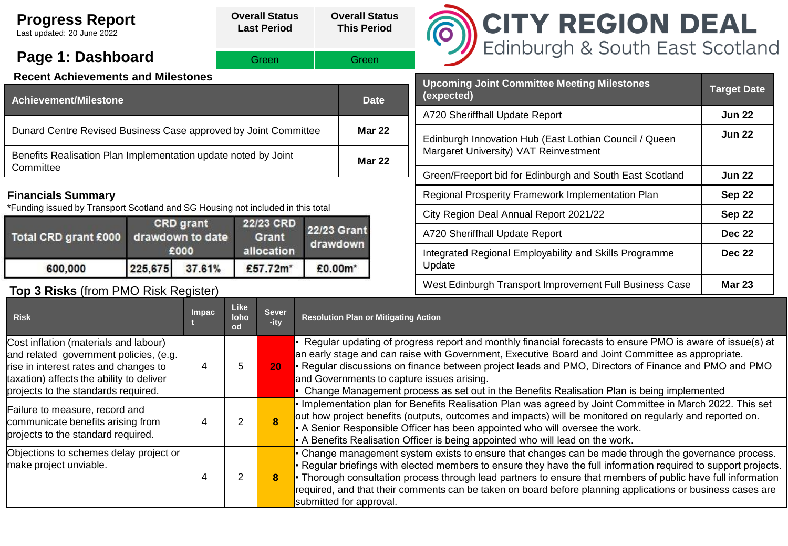| <b>Progress Report</b><br>Last updated: 20 June 2022                            |                               |        |  | <b>Overall Status</b><br><b>Last Period</b> |                    | <b>Overall Status</b><br><b>This Period</b> | <b>CITY REGION DEAL</b><br>Edinburgh & South East Scotland               |                    |  |  |
|---------------------------------------------------------------------------------|-------------------------------|--------|--|---------------------------------------------|--------------------|---------------------------------------------|--------------------------------------------------------------------------|--------------------|--|--|
| Page 1: Dashboard                                                               |                               |        |  | Green                                       | Green              |                                             |                                                                          |                    |  |  |
| <b>Recent Achievements and Milestones</b>                                       |                               |        |  |                                             |                    |                                             | <b>Upcoming Joint Committee Meeting Milestones</b>                       |                    |  |  |
| <b>Achievement/Milestone</b>                                                    |                               |        |  |                                             |                    | <b>Date</b>                                 | (expected)                                                               | <b>Target Date</b> |  |  |
|                                                                                 |                               |        |  |                                             |                    |                                             | A720 Sheriffhall Update Report                                           | <b>Jun 22</b>      |  |  |
| Dunard Centre Revised Business Case approved by Joint Committee                 |                               |        |  |                                             |                    | <b>Mar 22</b>                               | Edinburgh Innovation Hub (East Lothian Council / Queen                   | <b>Jun 22</b>      |  |  |
| Benefits Realisation Plan Implementation update noted by Joint                  |                               |        |  |                                             |                    | <b>Mar 22</b>                               | Margaret University) VAT Reinvestment                                    |                    |  |  |
| Committee                                                                       |                               |        |  |                                             |                    |                                             | Green/Freeport bid for Edinburgh and South East Scotland                 | <b>Jun 22</b>      |  |  |
| <b>Financials Summary</b>                                                       |                               |        |  |                                             |                    |                                             | Regional Prosperity Framework Implementation Plan<br>Sep 22              |                    |  |  |
| *Funding issued by Transport Scotland and SG Housing not included in this total |                               |        |  |                                             |                    |                                             | City Region Deal Annual Report 2021/22                                   | Sep 22             |  |  |
| Total CRD grant £000                                                            | CRD grant<br>drawdown to date |        |  | 22/23 CRD<br>Grant                          | <b>22/23 Grant</b> |                                             | A720 Sheriffhall Update Report                                           |                    |  |  |
| 600,000                                                                         | £000<br>225,675               | 37.61% |  | allocation<br>£57.72m*                      | drawdown           |                                             | Integrated Regional Employability and Skills Programme<br>Update         | <b>Dec 22</b>      |  |  |
| £0.00m*<br>Top 3 Risks (from PMO Risk Register)                                 |                               |        |  |                                             |                    |                                             | West Edinburgh Transport Improvement Full Business Case<br><b>Mar 23</b> |                    |  |  |
| Like<br><b>Sever</b><br><b>Impac</b><br><b>Risk</b><br>loho<br>-ity<br>od       |                               |        |  |                                             |                    | <b>Resolution Plan or Mitigating Action</b> |                                                                          |                    |  |  |

| l NSN                                                                                                                                                                                                       | <u> 10110 </u><br>od | -ity            | Resolution Fian of Miligating Action                                                                                                                                                                                                                                                                                                                                                                                                                                             |
|-------------------------------------------------------------------------------------------------------------------------------------------------------------------------------------------------------------|----------------------|-----------------|----------------------------------------------------------------------------------------------------------------------------------------------------------------------------------------------------------------------------------------------------------------------------------------------------------------------------------------------------------------------------------------------------------------------------------------------------------------------------------|
| Cost inflation (materials and labour)<br>and related government policies, (e.g.<br>rise in interest rates and changes to<br>taxation) affects the ability to deliver<br>projects to the standards required. | 5                    | 20 <sub>1</sub> | Regular updating of progress report and monthly financial forecasts to ensure PMO is aware of issue(s) at<br>an early stage and can raise with Government, Executive Board and Joint Committee as appropriate.<br>• Regular discussions on finance between project leads and PMO, Directors of Finance and PMO and PMO<br>and Governments to capture issues arising.<br>Change Management process as set out in the Benefits Realisation Plan is being implemented               |
| Failure to measure, record and<br>communicate benefits arising from<br>projects to the standard required.                                                                                                   | 2                    |                 | • Implementation plan for Benefits Realisation Plan was agreed by Joint Committee in March 2022. This set<br>out how project benefits (outputs, outcomes and impacts) will be monitored on regularly and reported on.<br>• A Senior Responsible Officer has been appointed who will oversee the work.<br>• A Benefits Realisation Officer is being appointed who will lead on the work.                                                                                          |
| Objections to schemes delay project or<br>make project unviable.                                                                                                                                            | 2                    | 8.              | • Change management system exists to ensure that changes can be made through the governance process.<br>• Regular briefings with elected members to ensure they have the full information required to support projects.<br>• Thorough consultation process through lead partners to ensure that members of public have full information<br>required, and that their comments can be taken on board before planning applications or business cases are<br>submitted for approval. |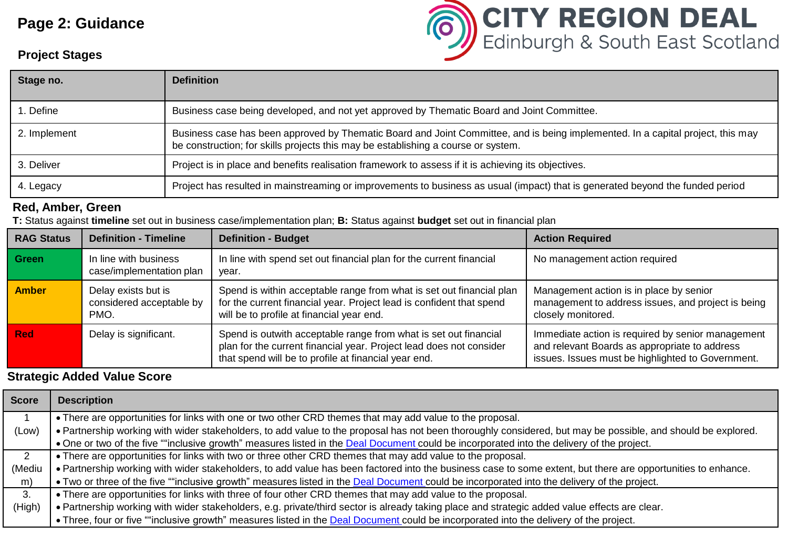## **Page 2: Guidance**

# **CITY REGION DEAL**<br>Edinburgh & South East Scotland

### **Project Stages**

| Stage no.    | <b>Definition</b>                                                                                                                                                                                                    |
|--------------|----------------------------------------------------------------------------------------------------------------------------------------------------------------------------------------------------------------------|
| . Define     | Business case being developed, and not yet approved by Thematic Board and Joint Committee.                                                                                                                           |
| 2. Implement | Business case has been approved by Thematic Board and Joint Committee, and is being implemented. In a capital project, this may<br>be construction; for skills projects this may be establishing a course or system. |
| 3. Deliver   | Project is in place and benefits realisation framework to assess if it is achieving its objectives.                                                                                                                  |
| 4. Legacy    | Project has resulted in mainstreaming or improvements to business as usual (impact) that is generated beyond the funded period                                                                                       |

#### **Red, Amber, Green**

**T:** Status against **timeline** set out in business case/implementation plan; **B:** Status against **budget** set out in financial plan

| <b>RAG Status</b> | <b>Definition - Timeline</b>                            | <b>Definition - Budget</b>                                                                                                                                                                      | <b>Action Required</b>                                                                                                                                  |
|-------------------|---------------------------------------------------------|-------------------------------------------------------------------------------------------------------------------------------------------------------------------------------------------------|---------------------------------------------------------------------------------------------------------------------------------------------------------|
| Green             | In line with business<br>case/implementation plan       | In line with spend set out financial plan for the current financial<br>year.                                                                                                                    | No management action required                                                                                                                           |
| <b>Amber</b>      | Delay exists but is<br>considered acceptable by<br>PMO. | Spend is within acceptable range from what is set out financial plan<br>for the current financial year. Project lead is confident that spend<br>will be to profile at financial year end.       | Management action is in place by senior<br>management to address issues, and project is being<br>closely monitored.                                     |
| <b>Red</b>        | Delay is significant.                                   | Spend is outwith acceptable range from what is set out financial<br>plan for the current financial year. Project lead does not consider<br>that spend will be to profile at financial year end. | Immediate action is required by senior management<br>and relevant Boards as appropriate to address<br>issues. Issues must be highlighted to Government. |

### **Strategic Added Value Score**

| <b>Score</b> | <b>Description</b>                                                                                                                                           |
|--------------|--------------------------------------------------------------------------------------------------------------------------------------------------------------|
|              | • There are opportunities for links with one or two other CRD themes that may add value to the proposal.                                                     |
| (Low)        | . Partnership working with wider stakeholders, to add value to the proposal has not been thoroughly considered, but may be possible, and should be explored. |
|              | . One or two of the five ""inclusive growth" measures listed in the Deal Document could be incorporated into the delivery of the project.                    |
| $2^{\circ}$  | • There are opportunities for links with two or three other CRD themes that may add value to the proposal.                                                   |
| (Mediu       | . Partnership working with wider stakeholders, to add value has been factored into the business case to some extent, but there are opportunities to enhance. |
| m)           | • Two or three of the five ""inclusive growth" measures listed in the Deal Document could be incorporated into the delivery of the project.                  |
| 3.           | • There are opportunities for links with three of four other CRD themes that may add value to the proposal.                                                  |
| (High)       | . Partnership working with wider stakeholders, e.g. private/third sector is already taking place and strategic added value effects are clear.                |
|              | • Three, four or five ""inclusive growth" measures listed in the Deal Document could be incorporated into the delivery of the project.                       |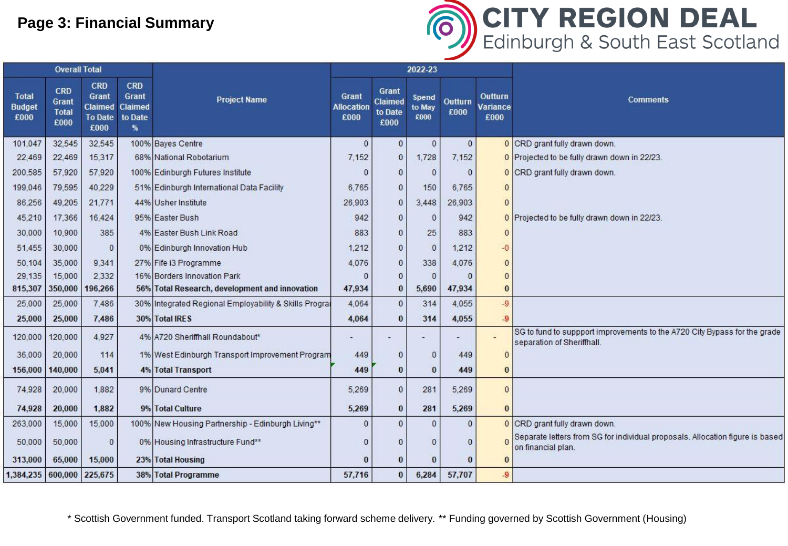## **Page 3: Financial Summary**



|                                       | <b>Overall Total</b>                               |                                                                        |                                                |                                                        |              |                                     | 2022-23                 |                 |                                    |                                                                                                         |  |
|---------------------------------------|----------------------------------------------------|------------------------------------------------------------------------|------------------------------------------------|--------------------------------------------------------|--------------|-------------------------------------|-------------------------|-----------------|------------------------------------|---------------------------------------------------------------------------------------------------------|--|
| <b>Total</b><br><b>Budget</b><br>£000 | <b>CRD</b><br><b>Grant</b><br><b>Total</b><br>£000 | <b>CRD</b><br><b>Grant</b><br><b>Claimed</b><br><b>To Date</b><br>£000 | <b>CRD</b><br>Grant<br>Claimed<br>to Date<br>% | <b>Project Name</b>                                    |              | Grant<br>Claimed<br>to Date<br>£000 | Spend<br>to May<br>£000 | Outturn<br>£000 | <b>Outturn</b><br>Variance<br>£000 | Comments                                                                                                |  |
| 101,047                               | 32,545                                             | 32.545                                                                 |                                                | 100% Bayes Centre                                      | $\mathbf{0}$ | $\mathbf{0}$                        | $\mathbf{0}$            | $\mathbf{0}$    |                                    | 0 CRD grant fully drawn down.                                                                           |  |
| 22,469                                | 22,469                                             | 15,317                                                                 |                                                | 68% National Robotarium                                | 7,152        | $\theta$                            | 1,728                   | 7,152           |                                    | 0 Projected to be fully drawn down in 22/23.                                                            |  |
| 200,585                               | 57,920                                             | 57,920                                                                 |                                                | 100% Edinburgh Futures Institute                       | $\Omega$     | $\theta$                            | $\Omega$                | $\Omega$        |                                    | 0 CRD grant fully drawn down.                                                                           |  |
| 199,046                               | 79,595                                             | 40,229                                                                 |                                                | 51% Edinburgh International Data Facility              | 6,765        | $\theta$                            | 150                     | 6,765           | $\Omega$                           |                                                                                                         |  |
| 86,256                                | 49,205                                             | 21,771                                                                 |                                                | 44% Usher Institute                                    | 26,903       | $\theta$                            | 3,448                   | 26,903          | $\theta$                           |                                                                                                         |  |
| 45,210                                | 17,366                                             | 16,424                                                                 |                                                | 95% Easter Bush                                        | 942          | $\mathbf{0}$                        | $\Omega$                | 942             |                                    | 0 Projected to be fully drawn down in 22/23.                                                            |  |
| 30,000                                | 10,900                                             | 385                                                                    |                                                | 4% Easter Bush Link Road                               | 883          | $\theta$                            | 25                      | 883             | $\Omega$                           |                                                                                                         |  |
| 51,455                                | 30,000                                             | $\mathbf{0}$                                                           |                                                | 0% Edinburgh Innovation Hub                            | 1.212        | $\theta$                            | $\overline{0}$          | 1,212           | $-0$                               |                                                                                                         |  |
| 50,104                                | 35,000                                             | 9.341                                                                  |                                                | 27% Fife i3 Programme                                  | 4,076        | $\mathbf{0}$                        | 338                     | 4,076           | $\Omega$                           |                                                                                                         |  |
| 29,135                                | 15,000                                             | 2,332                                                                  |                                                | 16% Borders Innovation Park                            |              | $\theta$                            | $\Omega$                |                 | $\Omega$                           |                                                                                                         |  |
| 815,307                               | 350,000                                            | 196,266                                                                |                                                | 56% Total Research, development and innovation         | 47,934       | $\bf{0}$                            | 5,690                   | 47,934          | $\bf{0}$                           |                                                                                                         |  |
| 25,000                                | 25,000                                             | 7,486                                                                  |                                                | 30% Integrated Regional Employability & Skills Prograf | 4,064        | $\overline{0}$                      | 314                     | 4,055           | $-9$                               |                                                                                                         |  |
| 25,000                                | 25,000                                             | 7,486                                                                  |                                                | 30% Total IRES                                         | 4,064        | $\bf{0}$                            | 314                     | 4,055           | $-9$                               |                                                                                                         |  |
| 120,000                               | 120,000                                            | 4,927                                                                  |                                                | 4% A720 Sheriffhall Roundabout*                        |              |                                     |                         |                 |                                    | SG to fund to suppport improvements to the A720 City Bypass for the grade<br>separation of Sheriffhall. |  |
| 36,000                                | 20,000                                             | 114                                                                    |                                                | 1% West Edinburgh Transport Improvement Program        | 449          | $\theta$                            | $\Omega$                | 449             | $\Omega$                           |                                                                                                         |  |
| 156,000                               | 140,000                                            | 5.041                                                                  |                                                | <b>4% Total Transport</b>                              | 449          | $\bf{0}$                            | $\bf{0}$                | 449             | $\bf{0}$                           |                                                                                                         |  |
| 74,928                                | 20,000                                             | 1,882                                                                  |                                                | 9% Dunard Centre                                       | 5,269        | $\theta$                            | 281                     | 5,269           | $\mathbf{0}$                       |                                                                                                         |  |
| 74,928                                | 20,000                                             | 1.882                                                                  |                                                | 9% Total Culture                                       | 5,269        | $\bf{0}$                            | 281                     | 5,269           | $\Omega$                           |                                                                                                         |  |
| 263,000                               | 15,000                                             | 15,000                                                                 |                                                | 100% New Housing Partnership - Edinburgh Living**      | $\mathbf{0}$ | $\theta$                            | $\Omega$                | $\mathbf{0}$    |                                    | 0 CRD grant fully drawn down.                                                                           |  |
| 50,000                                | 50,000                                             | $\mathbf{0}$                                                           |                                                | 0% Housing Infrastructure Fund**                       | $\Omega$     | $\theta$                            |                         | $\Omega$        |                                    | Separate letters from SG for individual proposals. Allocation figure is based<br>on financial plan.     |  |
| 313,000                               | 65,000                                             | 15,000                                                                 |                                                | 23% Total Housing                                      | $\bf{0}$     | $\bf{0}$                            |                         |                 | $\Omega$                           |                                                                                                         |  |
| 1,384,235 600,000 225,675             |                                                    |                                                                        |                                                | 38% Total Programme                                    | 57,716       | $\bf{0}$                            | 6,284                   | 57,707          | $-9$                               |                                                                                                         |  |

\* Scottish Government funded. Transport Scotland taking forward scheme delivery. \*\* Funding governed by Scottish Government (Housing)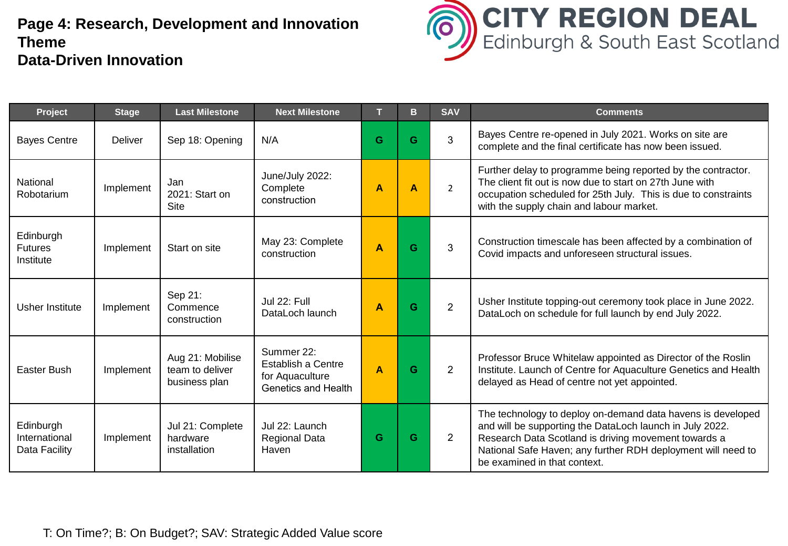## **Page 4: Research, Development and Innovation Theme Data-Driven Innovation**



| Project                                     | <b>Stage</b> | <b>Last Milestone</b>                                | <b>Next Milestone</b>                                                             |                         | B                | <b>SAV</b>     | <b>Comments</b>                                                                                                                                                                                                                                                                 |
|---------------------------------------------|--------------|------------------------------------------------------|-----------------------------------------------------------------------------------|-------------------------|------------------|----------------|---------------------------------------------------------------------------------------------------------------------------------------------------------------------------------------------------------------------------------------------------------------------------------|
| <b>Bayes Centre</b>                         | Deliver      | Sep 18: Opening                                      | N/A                                                                               | G                       | G                | 3              | Bayes Centre re-opened in July 2021. Works on site are<br>complete and the final certificate has now been issued.                                                                                                                                                               |
| National<br>Robotarium                      | Implement    | Jan<br>2021: Start on<br><b>Site</b>                 | June/July 2022:<br>Complete<br>construction                                       | $\overline{A}$          | $\blacktriangle$ | $\overline{2}$ | Further delay to programme being reported by the contractor.<br>The client fit out is now due to start on 27th June with<br>occupation scheduled for 25th July. This is due to constraints<br>with the supply chain and labour market.                                          |
| Edinburgh<br><b>Futures</b><br>Institute    | Implement    | Start on site                                        | May 23: Complete<br>construction                                                  | $\overline{\mathsf{A}}$ | G                | 3              | Construction timescale has been affected by a combination of<br>Covid impacts and unforeseen structural issues.                                                                                                                                                                 |
| Usher Institute                             | Implement    | Sep 21:<br>Commence<br>construction                  | Jul 22: Full<br>DataLoch launch                                                   | A                       | G                | $\overline{2}$ | Usher Institute topping-out ceremony took place in June 2022.<br>DataLoch on schedule for full launch by end July 2022.                                                                                                                                                         |
| Easter Bush                                 | Implement    | Aug 21: Mobilise<br>team to deliver<br>business plan | Summer 22:<br><b>Establish a Centre</b><br>for Aquaculture<br>Genetics and Health | A                       | G                | $\overline{2}$ | Professor Bruce Whitelaw appointed as Director of the Roslin<br>Institute. Launch of Centre for Aquaculture Genetics and Health<br>delayed as Head of centre not yet appointed.                                                                                                 |
| Edinburgh<br>International<br>Data Facility | Implement    | Jul 21: Complete<br>hardware<br>installation         | Jul 22: Launch<br>Regional Data<br>Haven                                          | G                       | G                | $\overline{2}$ | The technology to deploy on-demand data havens is developed<br>and will be supporting the DataLoch launch in July 2022.<br>Research Data Scotland is driving movement towards a<br>National Safe Haven; any further RDH deployment will need to<br>be examined in that context. |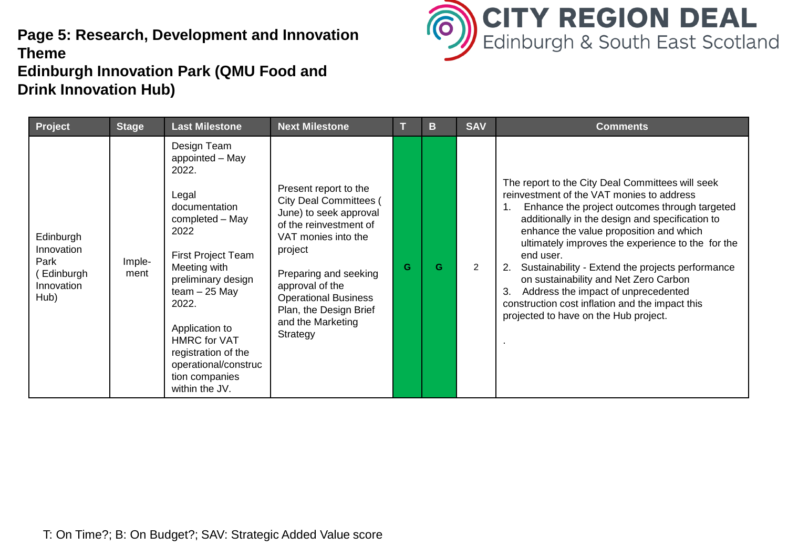## **Page 5: Research, Development and Innovation Theme Edinburgh Innovation Park (QMU Food and Drink Innovation Hub)**



| Project                                                            | <b>Stage</b>   | <b>Last Milestone</b>                                                                                                                                                                                                                                                                                            | <b>Next Milestone</b>                                                                                                                                                                                                                                                              |   | B | <b>SAV</b>     | <b>Comments</b>                                                                                                                                                                                                                                                                                                                                                                                                                                                                                                                                      |
|--------------------------------------------------------------------|----------------|------------------------------------------------------------------------------------------------------------------------------------------------------------------------------------------------------------------------------------------------------------------------------------------------------------------|------------------------------------------------------------------------------------------------------------------------------------------------------------------------------------------------------------------------------------------------------------------------------------|---|---|----------------|------------------------------------------------------------------------------------------------------------------------------------------------------------------------------------------------------------------------------------------------------------------------------------------------------------------------------------------------------------------------------------------------------------------------------------------------------------------------------------------------------------------------------------------------------|
| Edinburgh<br>Innovation<br>Park<br>Edinburgh<br>Innovation<br>Hub) | Imple-<br>ment | Design Team<br>appointed - May<br>2022.<br>Legal<br>documentation<br>completed - May<br>2022<br>First Project Team<br>Meeting with<br>preliminary design<br>$team - 25$ May<br>2022.<br>Application to<br><b>HMRC</b> for VAT<br>registration of the<br>operational/construc<br>tion companies<br>within the JV. | Present report to the<br><b>City Deal Committees (</b><br>June) to seek approval<br>of the reinvestment of<br>VAT monies into the<br>project<br>Preparing and seeking<br>approval of the<br><b>Operational Business</b><br>Plan, the Design Brief<br>and the Marketing<br>Strategy | G | G | $\overline{2}$ | The report to the City Deal Committees will seek<br>reinvestment of the VAT monies to address<br>Enhance the project outcomes through targeted<br>additionally in the design and specification to<br>enhance the value proposition and which<br>ultimately improves the experience to the for the<br>end user.<br>Sustainability - Extend the projects performance<br>on sustainability and Net Zero Carbon<br>Address the impact of unprecedented<br>3.<br>construction cost inflation and the impact this<br>projected to have on the Hub project. |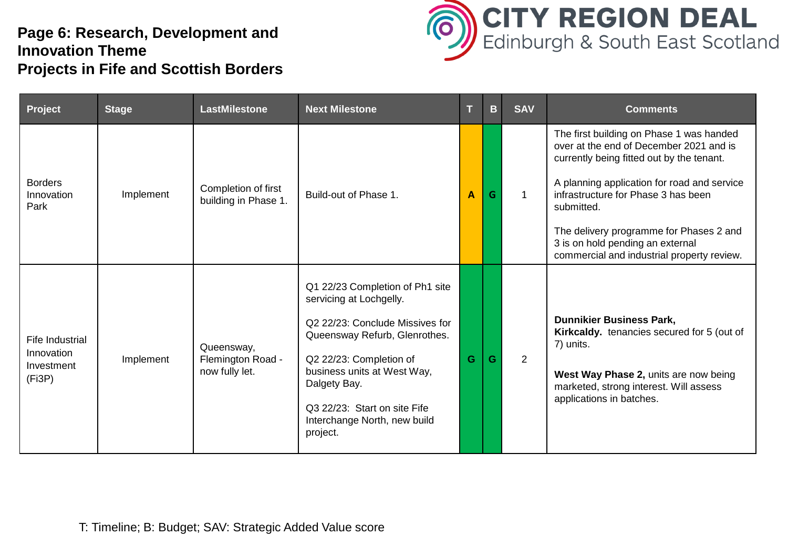## **Page 6: Research, Development and Innovation Theme Projects in Fife and Scottish Borders**



| Project                                                      | <b>Stage</b> | <b>LastMilestone</b>                              | <b>Next Milestone</b>                                                                                                                                                                                                                                                                | Т | B. | <b>SAV</b>     | <b>Comments</b>                                                                                                                                                                                                                                                                                                                                                   |
|--------------------------------------------------------------|--------------|---------------------------------------------------|--------------------------------------------------------------------------------------------------------------------------------------------------------------------------------------------------------------------------------------------------------------------------------------|---|----|----------------|-------------------------------------------------------------------------------------------------------------------------------------------------------------------------------------------------------------------------------------------------------------------------------------------------------------------------------------------------------------------|
| <b>Borders</b><br>Innovation<br>Park                         | Implement    | Completion of first<br>building in Phase 1.       | Build-out of Phase 1.                                                                                                                                                                                                                                                                | A | G  | $\mathbf{1}$   | The first building on Phase 1 was handed<br>over at the end of December 2021 and is<br>currently being fitted out by the tenant.<br>A planning application for road and service<br>infrastructure for Phase 3 has been<br>submitted.<br>The delivery programme for Phases 2 and<br>3 is on hold pending an external<br>commercial and industrial property review. |
| <b>Fife Industrial</b><br>Innovation<br>Investment<br>(Fi3P) | Implement    | Queensway,<br>Flemington Road -<br>now fully let. | Q1 22/23 Completion of Ph1 site<br>servicing at Lochgelly.<br>Q2 22/23: Conclude Missives for<br>Queensway Refurb, Glenrothes.<br>Q2 22/23: Completion of<br>business units at West Way,<br>Dalgety Bay.<br>Q3 22/23: Start on site Fife<br>Interchange North, new build<br>project. | G | G  | $\overline{2}$ | <b>Dunnikier Business Park,</b><br>Kirkcaldy. tenancies secured for 5 (out of<br>7) units.<br>West Way Phase 2, units are now being<br>marketed, strong interest. Will assess<br>applications in batches.                                                                                                                                                         |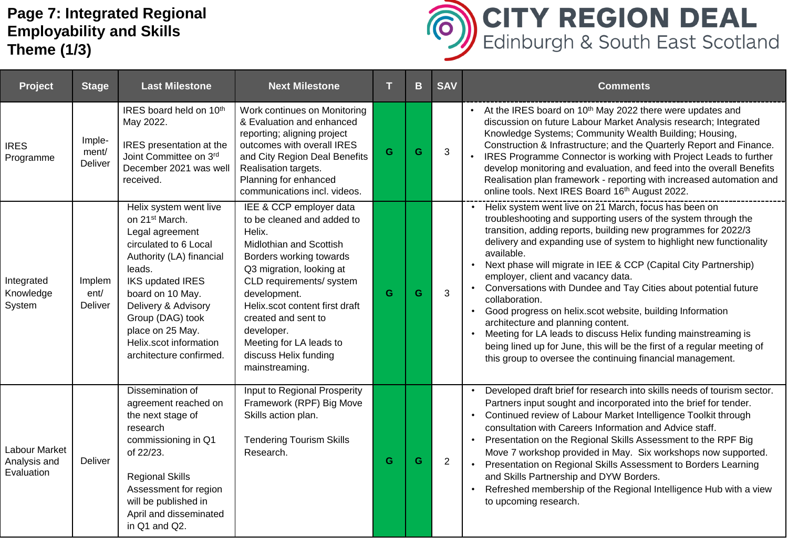## **Page 7: Integrated Regional Employability and Skills Theme (1/3)**



| Project                                     | <b>Stage</b>               | <b>Last Milestone</b>                                                                                                                                                                                                                                                                                     | <b>Next Milestone</b>                                                                                                                                                                                                                                                                                                                      |   | B | <b>SAV</b>     | <b>Comments</b>                                                                                                                                                                                                                                                                                                                                                                                                                                                                                                                                                                                                                                                                                                                                                                                           |
|---------------------------------------------|----------------------------|-----------------------------------------------------------------------------------------------------------------------------------------------------------------------------------------------------------------------------------------------------------------------------------------------------------|--------------------------------------------------------------------------------------------------------------------------------------------------------------------------------------------------------------------------------------------------------------------------------------------------------------------------------------------|---|---|----------------|-----------------------------------------------------------------------------------------------------------------------------------------------------------------------------------------------------------------------------------------------------------------------------------------------------------------------------------------------------------------------------------------------------------------------------------------------------------------------------------------------------------------------------------------------------------------------------------------------------------------------------------------------------------------------------------------------------------------------------------------------------------------------------------------------------------|
| <b>IRES</b><br>Programme                    | Imple-<br>ment/<br>Deliver | IRES board held on 10th<br>May 2022.<br>IRES presentation at the<br>Joint Committee on 3rd<br>December 2021 was well<br>received.                                                                                                                                                                         | Work continues on Monitoring<br>& Evaluation and enhanced<br>reporting; aligning project<br>outcomes with overall IRES<br>and City Region Deal Benefits<br>Realisation targets.<br>Planning for enhanced<br>communications incl. videos.                                                                                                   | G | G | 3              | • At the IRES board on 10 <sup>th</sup> May 2022 there were updates and<br>discussion on future Labour Market Analysis research; Integrated<br>Knowledge Systems; Community Wealth Building; Housing,<br>Construction & Infrastructure; and the Quarterly Report and Finance.<br>IRES Programme Connector is working with Project Leads to further<br>develop monitoring and evaluation, and feed into the overall Benefits<br>Realisation plan framework - reporting with increased automation and<br>online tools. Next IRES Board 16th August 2022.                                                                                                                                                                                                                                                    |
| Integrated<br>Knowledge<br>System           | Implem<br>ent/<br>Deliver  | Helix system went live<br>on 21 <sup>st</sup> March.<br>Legal agreement<br>circulated to 6 Local<br>Authority (LA) financial<br>leads.<br><b>IKS updated IRES</b><br>board on 10 May.<br>Delivery & Advisory<br>Group (DAG) took<br>place on 25 May.<br>Helix.scot information<br>architecture confirmed. | IEE & CCP employer data<br>to be cleaned and added to<br>Helix.<br>Midlothian and Scottish<br>Borders working towards<br>Q3 migration, looking at<br>CLD requirements/ system<br>development.<br>Helix.scot content first draft<br>created and sent to<br>developer.<br>Meeting for LA leads to<br>discuss Helix funding<br>mainstreaming. | G | G | $\mathbf{3}$   | Helix system went live on 21 March, focus has been on<br>troubleshooting and supporting users of the system through the<br>transition, adding reports, building new programmes for 2022/3<br>delivery and expanding use of system to highlight new functionality<br>available.<br>Next phase will migrate in IEE & CCP (Capital City Partnership)<br>$\bullet$<br>employer, client and vacancy data.<br>• Conversations with Dundee and Tay Cities about potential future<br>collaboration.<br>Good progress on helix.scot website, building Information<br>architecture and planning content.<br>Meeting for LA leads to discuss Helix funding mainstreaming is<br>being lined up for June, this will be the first of a regular meeting of<br>this group to oversee the continuing financial management. |
| Labour Market<br>Analysis and<br>Evaluation | Deliver                    | Dissemination of<br>agreement reached on<br>the next stage of<br>research<br>commissioning in Q1<br>of 22/23.<br><b>Regional Skills</b><br>Assessment for region<br>will be published in<br>April and disseminated<br>in Q1 and Q2.                                                                       | Input to Regional Prosperity<br>Framework (RPF) Big Move<br>Skills action plan.<br><b>Tendering Tourism Skills</b><br>Research.                                                                                                                                                                                                            | G | G | $\overline{2}$ | Developed draft brief for research into skills needs of tourism sector.<br>Partners input sought and incorporated into the brief for tender.<br>Continued review of Labour Market Intelligence Toolkit through<br>consultation with Careers Information and Advice staff.<br>Presentation on the Regional Skills Assessment to the RPF Big<br>Move 7 workshop provided in May. Six workshops now supported.<br>Presentation on Regional Skills Assessment to Borders Learning<br>and Skills Partnership and DYW Borders.<br>Refreshed membership of the Regional Intelligence Hub with a view<br>to upcoming research.                                                                                                                                                                                    |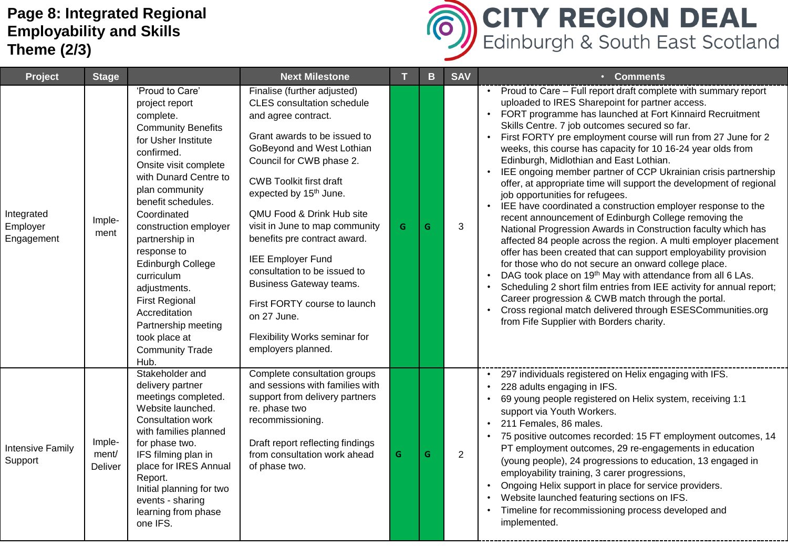## **Page 8: Integrated Regional Employability and Skills Theme (2/3)**



| Project                              | <b>Stage</b>               |                                                                                                                                                                                                                                                                                                                                                                                                                                                            | <b>Next Milestone</b>                                                                                                                                                                                                                                                                                                                                                                                                                                                                                                                                |   | B. | <b>SAV</b> | • Comments                                                                                                                                                                                                                                                                                                                                                                                                                                                                                                                                                                                                                                                                                                                                                                                                                                                                                                                                                                                                                                                                                                                                                                                                                                                                                         |
|--------------------------------------|----------------------------|------------------------------------------------------------------------------------------------------------------------------------------------------------------------------------------------------------------------------------------------------------------------------------------------------------------------------------------------------------------------------------------------------------------------------------------------------------|------------------------------------------------------------------------------------------------------------------------------------------------------------------------------------------------------------------------------------------------------------------------------------------------------------------------------------------------------------------------------------------------------------------------------------------------------------------------------------------------------------------------------------------------------|---|----|------------|----------------------------------------------------------------------------------------------------------------------------------------------------------------------------------------------------------------------------------------------------------------------------------------------------------------------------------------------------------------------------------------------------------------------------------------------------------------------------------------------------------------------------------------------------------------------------------------------------------------------------------------------------------------------------------------------------------------------------------------------------------------------------------------------------------------------------------------------------------------------------------------------------------------------------------------------------------------------------------------------------------------------------------------------------------------------------------------------------------------------------------------------------------------------------------------------------------------------------------------------------------------------------------------------------|
| Integrated<br>Employer<br>Engagement | Imple-<br>ment             | 'Proud to Care'<br>project report<br>complete.<br><b>Community Benefits</b><br>for Usher Institute<br>confirmed.<br>Onsite visit complete<br>with Dunard Centre to<br>plan community<br>benefit schedules.<br>Coordinated<br>construction employer<br>partnership in<br>response to<br>Edinburgh College<br>curriculum<br>adjustments.<br><b>First Regional</b><br>Accreditation<br>Partnership meeting<br>took place at<br><b>Community Trade</b><br>Hub. | Finalise (further adjusted)<br><b>CLES</b> consultation schedule<br>and agree contract.<br>Grant awards to be issued to<br>GoBeyond and West Lothian<br>Council for CWB phase 2.<br><b>CWB Toolkit first draft</b><br>expected by 15 <sup>th</sup> June.<br>QMU Food & Drink Hub site<br>visit in June to map community<br>benefits pre contract award.<br><b>IEE Employer Fund</b><br>consultation to be issued to<br>Business Gateway teams.<br>First FORTY course to launch<br>on 27 June.<br>Flexibility Works seminar for<br>employers planned. | G | G  | 3          | • Proud to Care - Full report draft complete with summary report<br>uploaded to IRES Sharepoint for partner access.<br>FORT programme has launched at Fort Kinnaird Recruitment<br>Skills Centre. 7 job outcomes secured so far.<br>First FORTY pre employment course will run from 27 June for 2<br>weeks, this course has capacity for 10 16-24 year olds from<br>Edinburgh, Midlothian and East Lothian.<br>IEE ongoing member partner of CCP Ukrainian crisis partnership<br>offer, at appropriate time will support the development of regional<br>job opportunities for refugees.<br>IEE have coordinated a construction employer response to the<br>recent announcement of Edinburgh College removing the<br>National Progression Awards in Construction faculty which has<br>affected 84 people across the region. A multi employer placement<br>offer has been created that can support employability provision<br>for those who do not secure an onward college place.<br>DAG took place on 19 <sup>th</sup> May with attendance from all 6 LAs.<br>Scheduling 2 short film entries from IEE activity for annual report;<br>Career progression & CWB match through the portal.<br>Cross regional match delivered through ESESCommunities.org<br>from Fife Supplier with Borders charity. |
| <b>Intensive Family</b><br>Support   | Imple-<br>ment/<br>Deliver | Stakeholder and<br>delivery partner<br>meetings completed.<br>Website launched.<br>Consultation work<br>with families planned<br>for phase two.<br>IFS filming plan in<br>place for IRES Annual<br>Report.<br>Initial planning for two<br>events - sharing<br>learning from phase<br>one IFS.                                                                                                                                                              | Complete consultation groups<br>and sessions with families with<br>support from delivery partners<br>re. phase two<br>recommissioning.<br>Draft report reflecting findings<br>from consultation work ahead<br>of phase two.                                                                                                                                                                                                                                                                                                                          | G | G  | 2          | 297 individuals registered on Helix engaging with IFS.<br>228 adults engaging in IFS.<br>69 young people registered on Helix system, receiving 1:1<br>support via Youth Workers.<br>211 Females, 86 males.<br>75 positive outcomes recorded: 15 FT employment outcomes, 14<br>PT employment outcomes, 29 re-engagements in education<br>(young people), 24 progressions to education, 13 engaged in<br>employability training, 3 carer progressions,<br>Ongoing Helix support in place for service providers.<br>Website launched featuring sections on IFS.<br>Timeline for recommissioning process developed and<br>implemented.                                                                                                                                                                                                                                                                                                                                                                                                                                                                                                                                                                                                                                                                 |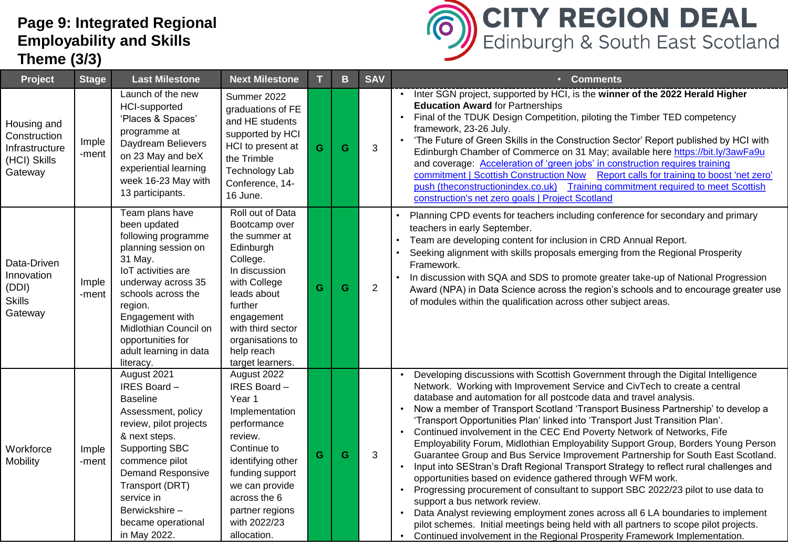## **Page 9: Integrated Regional Employability and Skills Theme (3/3)**



| Project                                                                  | <b>Stage</b>   | <b>Last Milestone</b>                                                                                                                                                                                                                                                         | <b>Next Milestone</b>                                                                                                                                                                                                           |    | B | <b>SAV</b>     | • Comments                                                                                                                                                                                                                                                                                                                                                                                                                                                                                                                                                                                                                                                                                                                                                                                                                                                                                                                                                                                                                                                                                                                                                                                           |
|--------------------------------------------------------------------------|----------------|-------------------------------------------------------------------------------------------------------------------------------------------------------------------------------------------------------------------------------------------------------------------------------|---------------------------------------------------------------------------------------------------------------------------------------------------------------------------------------------------------------------------------|----|---|----------------|------------------------------------------------------------------------------------------------------------------------------------------------------------------------------------------------------------------------------------------------------------------------------------------------------------------------------------------------------------------------------------------------------------------------------------------------------------------------------------------------------------------------------------------------------------------------------------------------------------------------------------------------------------------------------------------------------------------------------------------------------------------------------------------------------------------------------------------------------------------------------------------------------------------------------------------------------------------------------------------------------------------------------------------------------------------------------------------------------------------------------------------------------------------------------------------------------|
| Housing and<br>Construction<br>Infrastructure<br>(HCI) Skills<br>Gateway | Imple<br>-ment | Launch of the new<br><b>HCI-supported</b><br>'Places & Spaces'<br>programme at<br>Daydream Believers<br>on 23 May and beX<br>experiential learning<br>week 16-23 May with<br>13 participants.                                                                                 | Summer 2022<br>graduations of FE<br>and HE students<br>supported by HCI<br>HCI to present at<br>the Trimble<br><b>Technology Lab</b><br>Conference, 14-<br>16 June.                                                             | G  | G | 3              | • Inter SGN project, supported by HCI, is the winner of the 2022 Herald Higher<br><b>Education Award for Partnerships</b><br>Final of the TDUK Design Competition, piloting the Timber TED competency<br>framework, 23-26 July.<br>'The Future of Green Skills in the Construction Sector' Report published by HCI with<br>Edinburgh Chamber of Commerce on 31 May; available here https://bit.ly/3awFa9u<br>and coverage: Acceleration of 'green jobs' in construction requires training<br>commitment   Scottish Construction Now Report calls for training to boost 'net zero'<br>push (theconstructionindex.co.uk) Training commitment required to meet Scottish<br>construction's net zero goals   Project Scotland                                                                                                                                                                                                                                                                                                                                                                                                                                                                             |
| Data-Driven<br>Innovation<br>(DDI)<br><b>Skills</b><br>Gateway           | Imple<br>-ment | Team plans have<br>been updated<br>following programme<br>planning session on<br>31 May.<br>loT activities are<br>underway across 35<br>schools across the<br>region.<br>Engagement with<br>Midlothian Council on<br>opportunities for<br>adult learning in data<br>literacy. | Roll out of Data<br>Bootcamp over<br>the summer at<br>Edinburgh<br>College.<br>In discussion<br>with College<br>leads about<br>further<br>engagement<br>with third sector<br>organisations to<br>help reach<br>target learners. | Ġ  | G | $\overline{2}$ | Planning CPD events for teachers including conference for secondary and primary<br>teachers in early September.<br>Team are developing content for inclusion in CRD Annual Report.<br>Seeking alignment with skills proposals emerging from the Regional Prosperity<br>Framework.<br>In discussion with SQA and SDS to promote greater take-up of National Progression<br>Award (NPA) in Data Science across the region's schools and to encourage greater use<br>of modules within the qualification across other subject areas.                                                                                                                                                                                                                                                                                                                                                                                                                                                                                                                                                                                                                                                                    |
| Workforce<br><b>Mobility</b>                                             | Imple<br>-ment | August 2021<br>IRES Board-<br><b>Baseline</b><br>Assessment, policy<br>review, pilot projects<br>& next steps.<br><b>Supporting SBC</b><br>commence pilot<br><b>Demand Responsive</b><br>Transport (DRT)<br>service in<br>Berwickshire-<br>became operational<br>in May 2022. | August 2022<br>IRES Board-<br>Year 1<br>Implementation<br>performance<br>review.<br>Continue to<br>identifying other<br>funding support<br>we can provide<br>across the 6<br>partner regions<br>with 2022/23<br>allocation.     | G. | G | 3              | Developing discussions with Scottish Government through the Digital Intelligence<br>Network. Working with Improvement Service and CivTech to create a central<br>database and automation for all postcode data and travel analysis.<br>Now a member of Transport Scotland 'Transport Business Partnership' to develop a<br>'Transport Opportunities Plan' linked into 'Transport Just Transition Plan'.<br>• Continued involvement in the CEC End Poverty Network of Networks, Fife<br>Employability Forum, Midlothian Employability Support Group, Borders Young Person<br>Guarantee Group and Bus Service Improvement Partnership for South East Scotland.<br>Input into SEStran's Draft Regional Transport Strategy to reflect rural challenges and<br>opportunities based on evidence gathered through WFM work.<br>Progressing procurement of consultant to support SBC 2022/23 pilot to use data to<br>support a bus network review.<br>Data Analyst reviewing employment zones across all 6 LA boundaries to implement<br>pilot schemes. Initial meetings being held with all partners to scope pilot projects.<br>Continued involvement in the Regional Prosperity Framework Implementation. |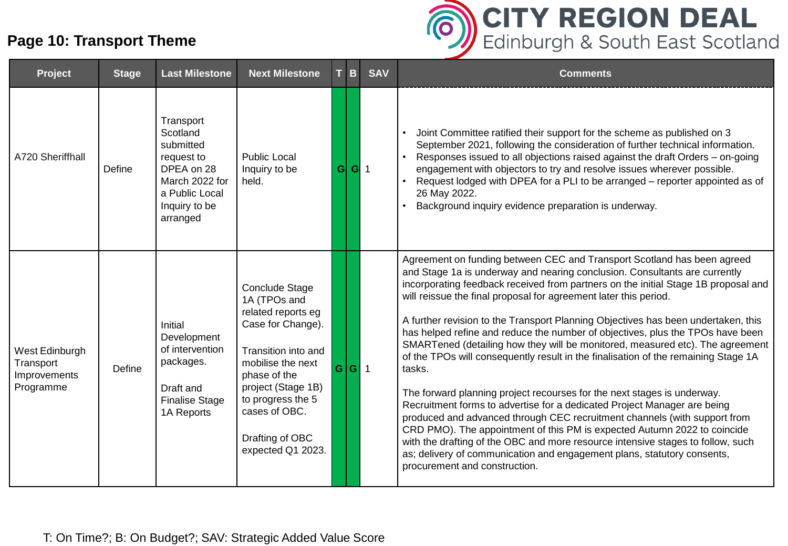## **Page 10: Transport Theme**



| Project                                                  | <b>Stage</b> | <b>Last Milestone</b>                                                                                                           | <b>Next Milestone</b>                                                                                                                                                                                                                     |   | T B   | <b>SAV</b> | <b>Comments</b>                                                                                                                                                                                                                                                                                                                                                                                                                                                                                                                                                                                                                                                                                                                                                                                                                                                                                                                                                                                                                                                                                                                                                                        |
|----------------------------------------------------------|--------------|---------------------------------------------------------------------------------------------------------------------------------|-------------------------------------------------------------------------------------------------------------------------------------------------------------------------------------------------------------------------------------------|---|-------|------------|----------------------------------------------------------------------------------------------------------------------------------------------------------------------------------------------------------------------------------------------------------------------------------------------------------------------------------------------------------------------------------------------------------------------------------------------------------------------------------------------------------------------------------------------------------------------------------------------------------------------------------------------------------------------------------------------------------------------------------------------------------------------------------------------------------------------------------------------------------------------------------------------------------------------------------------------------------------------------------------------------------------------------------------------------------------------------------------------------------------------------------------------------------------------------------------|
| A720 Sheriffhall                                         | Define       | Transport<br>Scotland<br>submitted<br>request to<br>DPEA on 28<br>March 2022 for<br>a Public Local<br>Inquiry to be<br>arranged | <b>Public Local</b><br>Inquiry to be<br>held.                                                                                                                                                                                             | G | $G$ 1 |            | Joint Committee ratified their support for the scheme as published on 3<br>September 2021, following the consideration of further technical information.<br>Responses issued to all objections raised against the draft Orders - on-going<br>engagement with objectors to try and resolve issues wherever possible.<br>Request lodged with DPEA for a PLI to be arranged – reporter appointed as of<br>26 May 2022.<br>Background inquiry evidence preparation is underway.                                                                                                                                                                                                                                                                                                                                                                                                                                                                                                                                                                                                                                                                                                            |
| West Edinburgh<br>Transport<br>Improvements<br>Programme | Define       | Initial<br>Development<br>of intervention<br>packages.<br>Draft and<br><b>Finalise Stage</b><br>1A Reports                      | Conclude Stage<br>1A (TPOs and<br>related reports eg<br>Case for Change).<br>Transition into and<br>mobilise the next<br>phase of the<br>project (Stage 1B)<br>to progress the 5<br>cases of OBC.<br>Drafting of OBC<br>expected Q1 2023. |   | G G 1 |            | Agreement on funding between CEC and Transport Scotland has been agreed<br>and Stage 1a is underway and nearing conclusion. Consultants are currently<br>incorporating feedback received from partners on the initial Stage 1B proposal and<br>will reissue the final proposal for agreement later this period.<br>A further revision to the Transport Planning Objectives has been undertaken, this<br>has helped refine and reduce the number of objectives, plus the TPOs have been<br>SMARTened (detailing how they will be monitored, measured etc). The agreement<br>of the TPOs will consequently result in the finalisation of the remaining Stage 1A<br>tasks.<br>The forward planning project recourses for the next stages is underway.<br>Recruitment forms to advertise for a dedicated Project Manager are being<br>produced and advanced through CEC recruitment channels (with support from<br>CRD PMO). The appointment of this PM is expected Autumn 2022 to coincide<br>with the drafting of the OBC and more resource intensive stages to follow, such<br>as; delivery of communication and engagement plans, statutory consents,<br>procurement and construction. |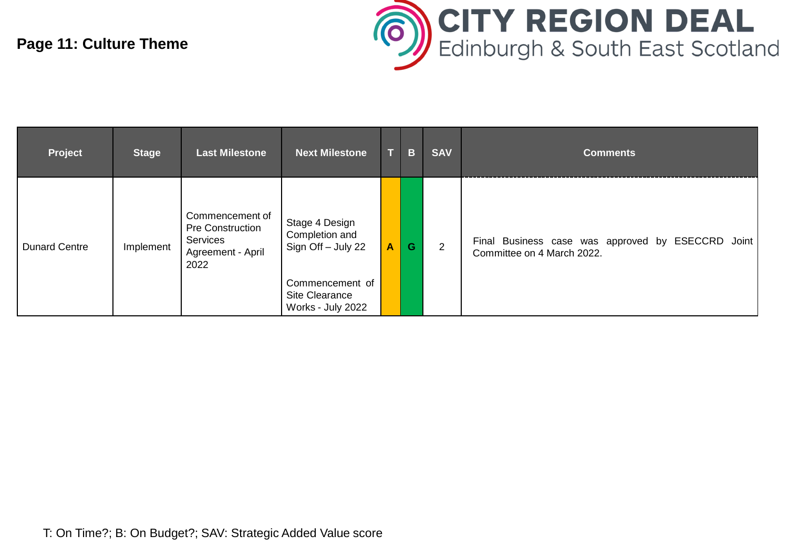## **Page 11: Culture Theme**



| Project              | <b>Stage</b> | <b>Last Milestone</b>                                                        | <b>Next Milestone</b>                                                                                            |                  | B | <b>SAV</b> | <b>Comments</b>                                                                 |
|----------------------|--------------|------------------------------------------------------------------------------|------------------------------------------------------------------------------------------------------------------|------------------|---|------------|---------------------------------------------------------------------------------|
| <b>Dunard Centre</b> | Implement    | Commencement of<br>Pre Construction<br>Services<br>Agreement - April<br>2022 | Stage 4 Design<br>Completion and<br>Sign Off - July 22<br>Commencement of<br>Site Clearance<br>Works - July 2022 | $\blacktriangle$ | G | 2          | Final Business case was approved by ESECCRD Joint<br>Committee on 4 March 2022. |